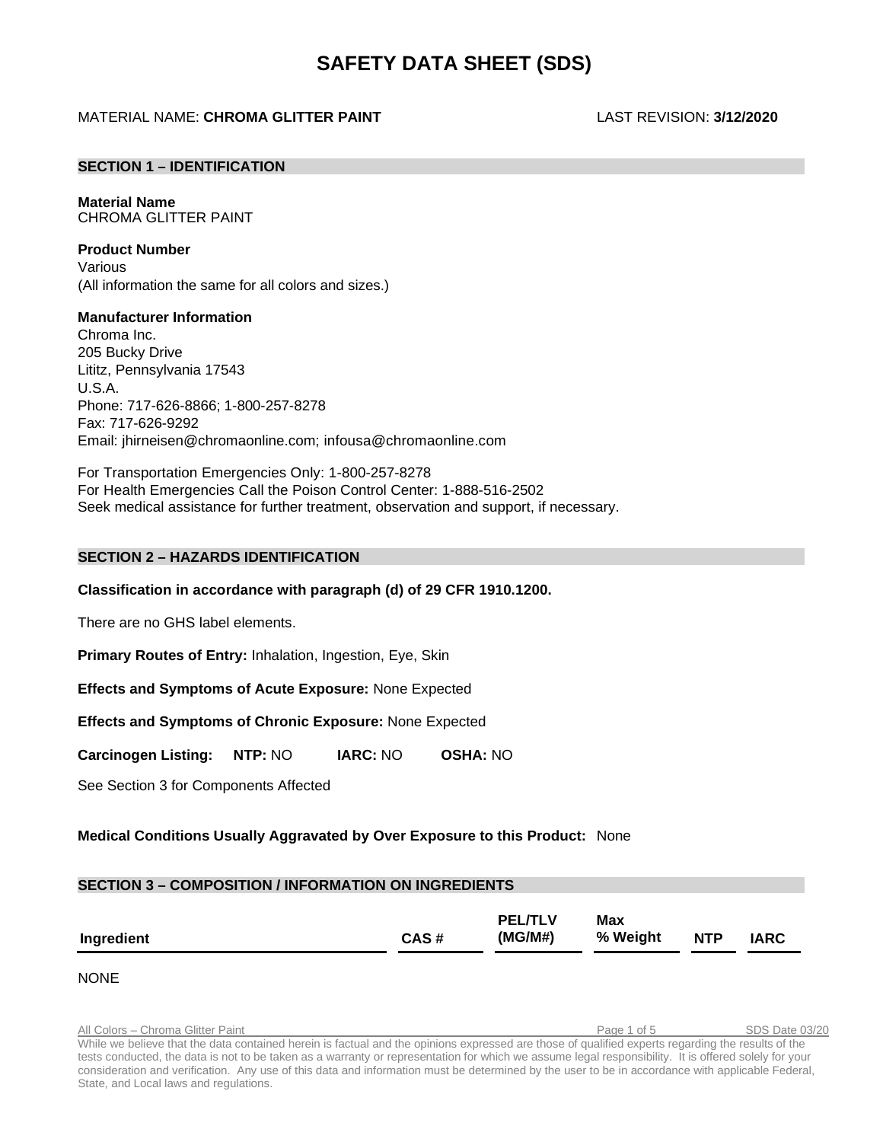# **SAFETY DATA SHEET (SDS)**

# MATERIAL NAME: **CHROMA GLITTER PAINT** LAST REVISION: **3/12/2020**

# **SECTION 1 – IDENTIFICATION**

**Material Name** CHROMA GLITTER PAINT

#### **Product Number**

Various (All information the same for all colors and sizes.)

# **Manufacturer Information**

Chroma Inc. 205 Bucky Drive Lititz, Pennsylvania 17543 U.S.A. Phone: 717-626-8866; 1-800-257-8278 Fax: 717-626-9292 Email: [jhirneisen@chromaonline.com;](mailto:jhirneisen@chromaonline.com) infousa@chromaonline.com

For Transportation Emergencies Only: 1-800-257-8278 For Health Emergencies Call the Poison Control Center: 1-888-516-2502 Seek medical assistance for further treatment, observation and support, if necessary.

# **SECTION 2 – HAZARDS IDENTIFICATION**

#### **Classification in accordance with paragraph (d) of 29 CFR 1910.1200.**

There are no GHS label elements.

**Primary Routes of Entry:** Inhalation, Ingestion, Eye, Skin

**Effects and Symptoms of Acute Exposure:** None Expected

**Effects and Symptoms of Chronic Exposure:** None Expected

**Carcinogen Listing: NTP:** NO **IARC:** NO **OSHA:** NO

See Section 3 for Components Affected

# **Medical Conditions Usually Aggravated by Over Exposure to this Product:** None

#### **SECTION 3 – COMPOSITION / INFORMATION ON INGREDIENTS Ingredient CAS # PEL/TLV (MG/M#) Max % Weight NTP IARC**

NONE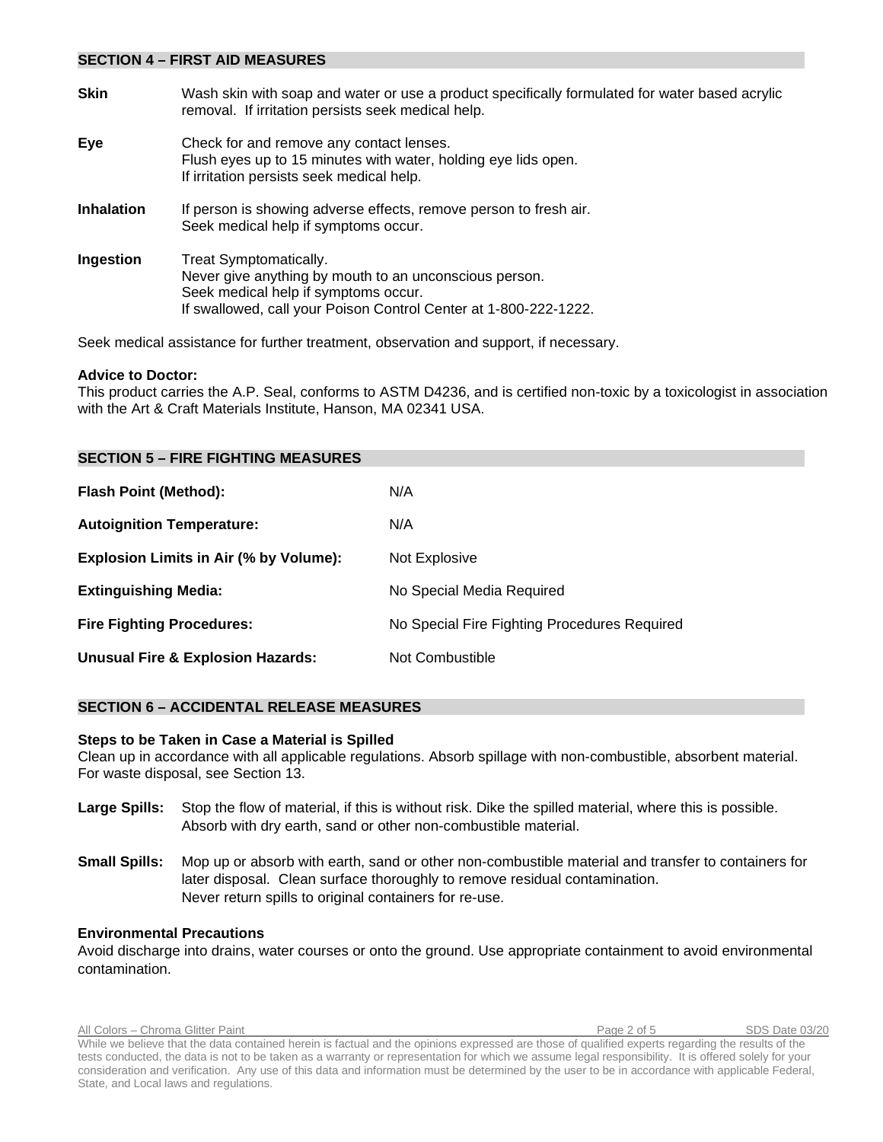#### **SECTION 4 – FIRST AID MEASURES**

| <b>Skin</b>       | Wash skin with soap and water or use a product specifically formulated for water based acrylic<br>removal. If irritation persists seek medical help.                                         |
|-------------------|----------------------------------------------------------------------------------------------------------------------------------------------------------------------------------------------|
| Eye               | Check for and remove any contact lenses.<br>Flush eyes up to 15 minutes with water, holding eye lids open.<br>If irritation persists seek medical help.                                      |
| <b>Inhalation</b> | If person is showing adverse effects, remove person to fresh air.<br>Seek medical help if symptoms occur.                                                                                    |
| Ingestion         | Treat Symptomatically.<br>Never give anything by mouth to an unconscious person.<br>Seek medical help if symptoms occur.<br>If swallowed, call your Poison Control Center at 1-800-222-1222. |

Seek medical assistance for further treatment, observation and support, if necessary.

#### **Advice to Doctor:**

This product carries the A.P. Seal, conforms to ASTM D4236, and is certified non-toxic by a toxicologist in association with the Art & Craft Materials Institute, Hanson, MA 02341 USA.

| <b>SECTION 5 – FIRE FIGHTING MEASURES</b>    |                                              |
|----------------------------------------------|----------------------------------------------|
| <b>Flash Point (Method):</b>                 | N/A                                          |
| <b>Autoignition Temperature:</b>             | N/A                                          |
| Explosion Limits in Air (% by Volume):       | Not Explosive                                |
| <b>Extinguishing Media:</b>                  | No Special Media Required                    |
| <b>Fire Fighting Procedures:</b>             | No Special Fire Fighting Procedures Required |
| <b>Unusual Fire &amp; Explosion Hazards:</b> | Not Combustible                              |

# **SECTION 6 – ACCIDENTAL RELEASE MEASURES**

#### **Steps to be Taken in Case a Material is Spilled**

Clean up in accordance with all applicable regulations. Absorb spillage with non-combustible, absorbent material. For waste disposal, see Section 13.

- **Large Spills:** Stop the flow of material, if this is without risk. Dike the spilled material, where this is possible. Absorb with dry earth, sand or other non-combustible material.
- **Small Spills:** Mop up or absorb with earth, sand or other non-combustible material and transfer to containers for later disposal. Clean surface thoroughly to remove residual contamination. Never return spills to original containers for re-use.

#### **Environmental Precautions**

Avoid discharge into drains, water courses or onto the ground. Use appropriate containment to avoid environmental contamination.

All Colors – Chroma Glitter Paint Page 2 of 5 SDS Date 03/20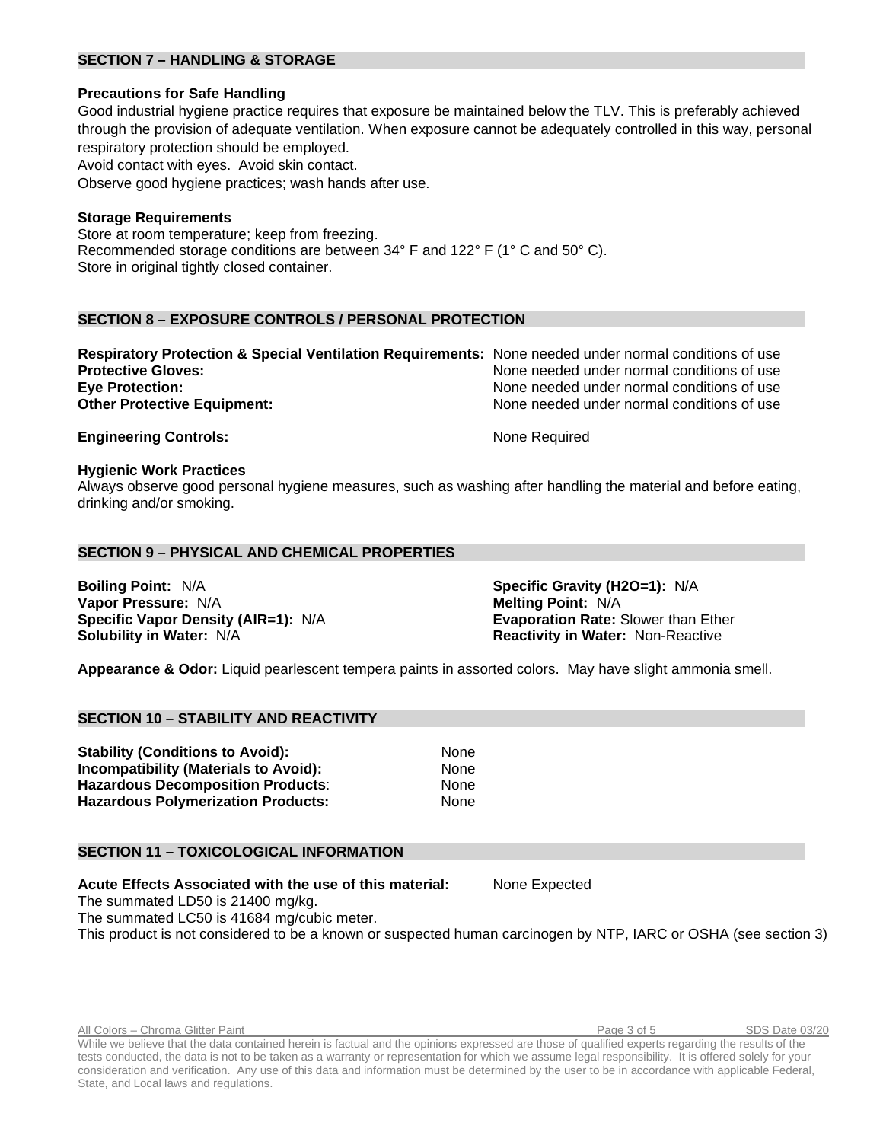# **SECTION 7 – HANDLING & STORAGE**

# **Precautions for Safe Handling**

Good industrial hygiene practice requires that exposure be maintained below the TLV. This is preferably achieved through the provision of adequate ventilation. When exposure cannot be adequately controlled in this way, personal respiratory protection should be employed. Avoid contact with eyes. Avoid skin contact. Observe good hygiene practices; wash hands after use.

# **Storage Requirements**

Store at room temperature; keep from freezing. Recommended storage conditions are between 34° F and 122° F (1° C and 50° C). Store in original tightly closed container.

# **SECTION 8 – EXPOSURE CONTROLS / PERSONAL PROTECTION**

| Respiratory Protection & Special Ventilation Requirements: None needed under normal conditions of use |                                            |
|-------------------------------------------------------------------------------------------------------|--------------------------------------------|
| <b>Protective Gloves:</b>                                                                             | None needed under normal conditions of use |
| <b>Eve Protection:</b>                                                                                | None needed under normal conditions of use |
| <b>Other Protective Equipment:</b>                                                                    | None needed under normal conditions of use |
|                                                                                                       |                                            |

**Engineering Controls:** None Required

#### **Hygienic Work Practices**

Always observe good personal hygiene measures, such as washing after handling the material and before eating, drinking and/or smoking.

# **SECTION 9 – PHYSICAL AND CHEMICAL PROPERTIES**

**Boiling Point:** N/A **Specific Gravity (H2O=1):** N/A **Specific Gravity (H2O=1):** N/A **Vapor Pressure:** N/A **Vapor Pressure: N/A Specific Vapor Density (AIR=1):** N/A **Evaporation Rate:** Slower than Ether **Solubility in Water:** N/A **Reactivity in Water:** Non-Reactive

**Appearance & Odor:** Liquid pearlescent tempera paints in assorted colors. May have slight ammonia smell.

# **SECTION 10 – STABILITY AND REACTIVITY**

| <b>Stability (Conditions to Avoid):</b>      | <b>None</b> |
|----------------------------------------------|-------------|
| <b>Incompatibility (Materials to Avoid):</b> | <b>None</b> |
| <b>Hazardous Decomposition Products:</b>     | <b>None</b> |
| <b>Hazardous Polymerization Products:</b>    | None        |

# **SECTION 11 – TOXICOLOGICAL INFORMATION**

**Acute Effects Associated with the use of this material:** None Expected

The summated LD50 is 21400 mg/kg.

The summated LC50 is 41684 mg/cubic meter.

This product is not considered to be a known or suspected human carcinogen by NTP, IARC or OSHA (see section 3)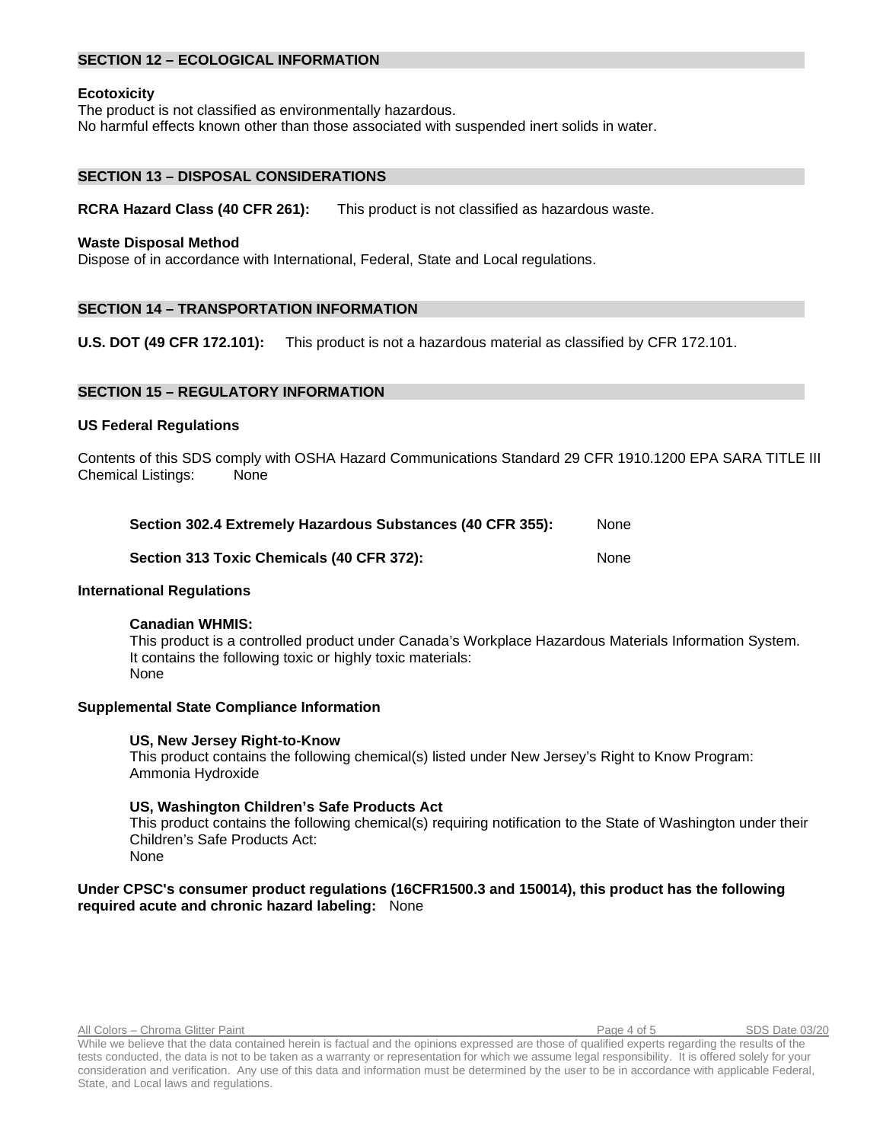# **SECTION 12 – ECOLOGICAL INFORMATION**

#### **Ecotoxicity**

The product is not classified as environmentally hazardous.

No harmful effects known other than those associated with suspended inert solids in water.

# **SECTION 13 – DISPOSAL CONSIDERATIONS**

**RCRA Hazard Class (40 CFR 261):** This product is not classified as hazardous waste.

#### **Waste Disposal Method**

Dispose of in accordance with International, Federal, State and Local regulations.

# **SECTION 14 – TRANSPORTATION INFORMATION**

**U.S. DOT (49 CFR 172.101):** This product is not a hazardous material as classified by CFR 172.101.

### **SECTION 15 – REGULATORY INFORMATION**

#### **US Federal Regulations**

Contents of this SDS comply with OSHA Hazard Communications Standard 29 CFR 1910.1200 EPA SARA TITLE III Chemical Listings: None

| Section 302.4 Extremely Hazardous Substances (40 CFR 355): | None |
|------------------------------------------------------------|------|
| Section 313 Toxic Chemicals (40 CFR 372):                  | None |

#### **International Regulations**

#### **Canadian WHMIS:**

This product is a controlled product under Canada's Workplace Hazardous Materials Information System. It contains the following toxic or highly toxic materials: None

#### **Supplemental State Compliance Information**

#### **US, New Jersey Right-to-Know**

This product contains the following chemical(s) listed under New Jersey's Right to Know Program: Ammonia Hydroxide

#### **US, Washington Children's Safe Products Act**

This product contains the following chemical(s) requiring notification to the State of Washington under their Children's Safe Products Act: None

# **Under CPSC's consumer product regulations (16CFR1500.3 and 150014), this product has the following required acute and chronic hazard labeling:** None

All Colors – Chroma Glitter Paint **Page 4 of 5** SDS Date 03/20